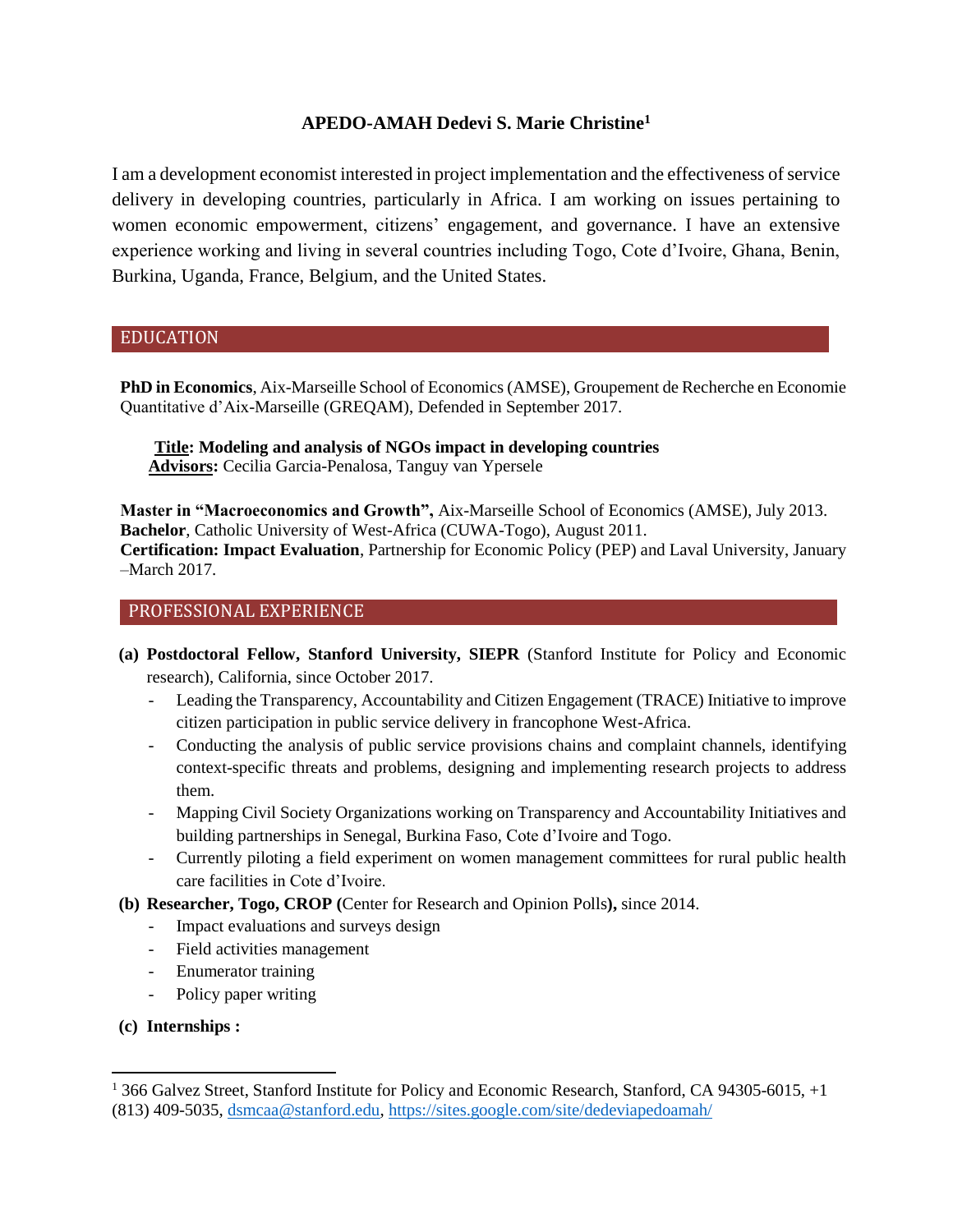# **APEDO-AMAH Dedevi S. Marie Christine<sup>1</sup>**

I am a development economist interested in project implementation and the effectiveness of service delivery in developing countries, particularly in Africa. I am working on issues pertaining to women economic empowerment, citizens' engagement, and governance. I have an extensive experience working and living in several countries including Togo, Cote d'Ivoire, Ghana, Benin, Burkina, Uganda, France, Belgium, and the United States.

### EDUCATION

(a) **PhD in Economics**, Aix-Marseille School of Economics (AMSE), Groupement de Recherche en Economie Quantitative d'Aix-Marseille (GREQAM), Defended in September 2017.

 **Title: Modeling and analysis of NGOs impact in developing countries Advisors:** Cecilia Garcia-Penalosa, Tanguy van Ypersele

- (b) **Master in "Macroeconomics and Growth",** Aix-Marseille School of Economics (AMSE), July 2013. Bachelor, Catholic University of West-Africa (CUWA-Togo), August 2011.
- **Certification: Impact Evaluation, Partnership for Economic Policy (PEP) and Laval University, January** –March 2017.

# PROFESSIONAL EXPERIENCE

- **(a) Postdoctoral Fellow, Stanford University, SIEPR** (Stanford Institute for Policy and Economic research), California, since October 2017.
	- Leading the Transparency, Accountability and Citizen Engagement (TRACE) Initiative to improve citizen participation in public service delivery in francophone West-Africa.
	- Conducting the analysis of public service provisions chains and complaint channels, identifying context-specific threats and problems, designing and implementing research projects to address them.
	- Mapping Civil Society Organizations working on Transparency and Accountability Initiatives and building partnerships in Senegal, Burkina Faso, Cote d'Ivoire and Togo.
	- Currently piloting a field experiment on women management committees for rural public health care facilities in Cote d'Ivoire.
- **(b) Researcher, Togo, CROP (**Center for Research and Opinion Polls**),** since 2014.
	- Impact evaluations and surveys design
	- Field activities management
	- Enumerator training
	- Policy paper writing
- **(c) Internships :**

l

<sup>&</sup>lt;sup>1</sup> 366 Galvez Street, Stanford Institute for Policy and Economic Research, Stanford, CA 94305-6015, +1 (813) 409-5035, [dsmcaa@stanford.edu,](mailto:dsmcaa@stanford.edu)<https://sites.google.com/site/dedeviapedoamah/>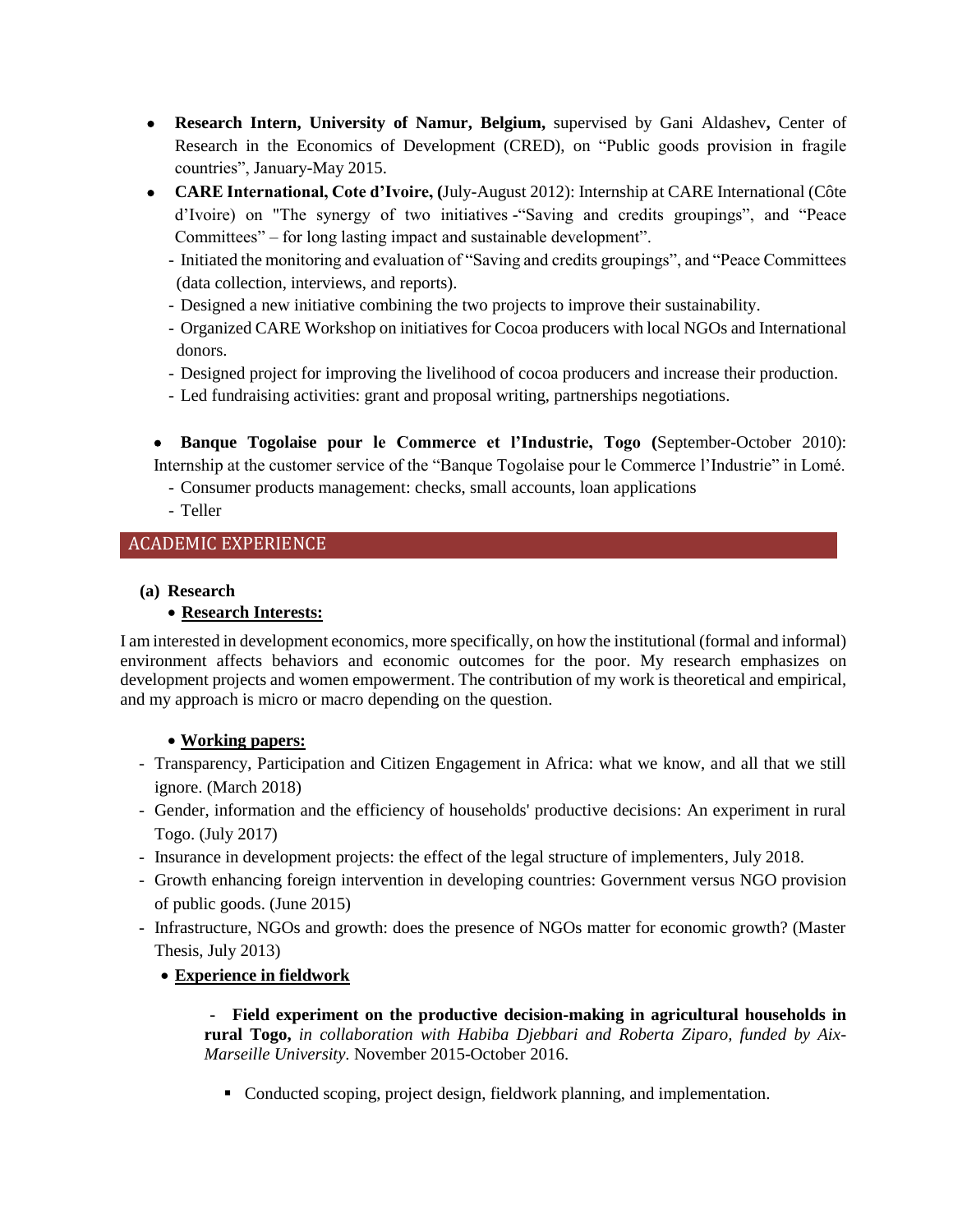- **Research Intern, University of Namur, Belgium,** supervised by Gani Aldashev**,** Center of Research in the Economics of Development (CRED), on "Public goods provision in fragile countries", January-May 2015.
- **CARE International, Cote d'Ivoire, (**July-August 2012): Internship at CARE International (Côte d'Ivoire) on "The synergy of two initiatives -"Saving and credits groupings", and "Peace Committees" – for long lasting impact and sustainable development".
	- Initiated the monitoring and evaluation of "Saving and credits groupings", and "Peace Committees (data collection, interviews, and reports).
	- Designed a new initiative combining the two projects to improve their sustainability.
	- Organized CARE Workshop on initiatives for Cocoa producers with local NGOs and International donors.
	- Designed project for improving the livelihood of cocoa producers and increase their production.
	- Led fundraising activities: grant and proposal writing, partnerships negotiations.

 **Banque Togolaise pour le Commerce et l'Industrie, Togo (**September-October 2010): Internship at the customer service of the "Banque Togolaise pour le Commerce l'Industrie" in Lomé.

- Consumer products management: checks, small accounts, loan applications
- Teller

# ACADEMIC EXPERIENCE

## **(a) Research**

## **Research Interests:**

I am interested in development economics, more specifically, on how the institutional (formal and informal) environment affects behaviors and economic outcomes for the poor. My research emphasizes on development projects and women empowerment. The contribution of my work is theoretical and empirical, and my approach is micro or macro depending on the question.

## **Working papers:**

- Transparency, Participation and Citizen Engagement in Africa: what we know, and all that we still ignore. (March 2018)
- Gender, information and the efficiency of households' productive decisions: An experiment in rural Togo. (July 2017)
- Insurance in development projects: the effect of the legal structure of implementers, July 2018.
- Growth enhancing foreign intervention in developing countries: Government versus NGO provision of public goods. (June 2015)
- Infrastructure, NGOs and growth: does the presence of NGOs matter for economic growth? (Master Thesis, July 2013)

# **Experience in fieldwork**

- **Field experiment on the productive decision-making in agricultural households in rural Togo,** *in collaboration with Habiba Djebbari and Roberta Ziparo, funded by Aix-Marseille University.* November 2015-October 2016.

• Conducted scoping, project design, fieldwork planning, and implementation.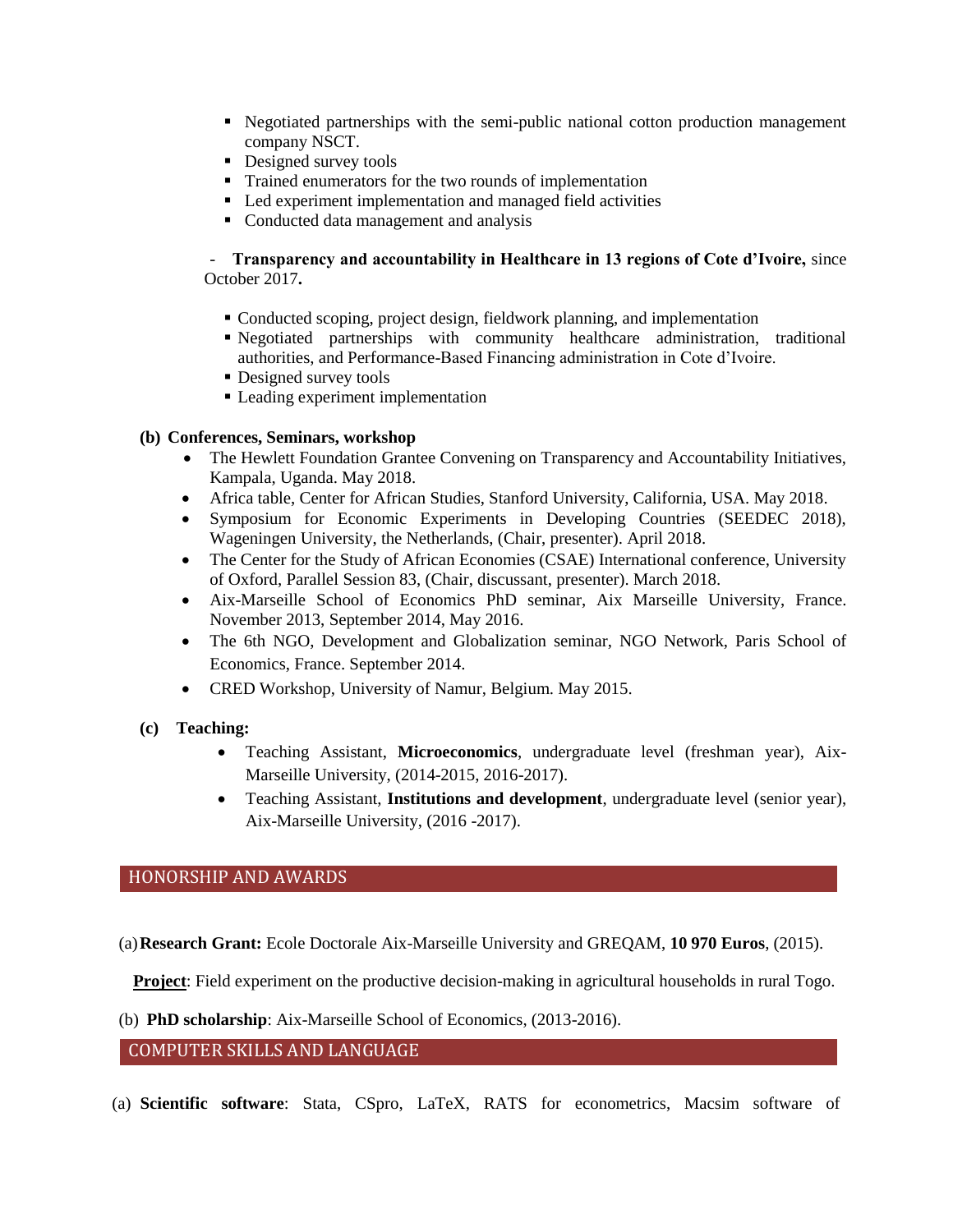- Negotiated partnerships with the semi-public national cotton production management company NSCT.
- Designed survey tools
- Trained enumerators for the two rounds of implementation
- Led experiment implementation and managed field activities
- Conducted data management and analysis

### - **Transparency and accountability in Healthcare in 13 regions of Cote d'Ivoire,** since October 2017**.**

- Conducted scoping, project design, fieldwork planning, and implementation
- Negotiated partnerships with community healthcare administration, traditional authorities, and Performance-Based Financing administration in Cote d'Ivoire.
- Designed survey tools
- Leading experiment implementation

### **(b) Conferences, Seminars, workshop**

- The Hewlett Foundation Grantee Convening on Transparency and Accountability Initiatives, Kampala, Uganda. May 2018.
- Africa table, Center for African Studies, Stanford University, California, USA. May 2018.
- Symposium for Economic Experiments in Developing Countries (SEEDEC 2018), Wageningen University, the Netherlands, (Chair, presenter). April 2018.
- The Center for the Study of African Economies (CSAE) International conference, University of Oxford, Parallel Session 83, (Chair, discussant, presenter). March 2018.
- Aix-Marseille School of Economics PhD seminar, Aix Marseille University, France. November 2013, September 2014, May 2016.
- The 6th NGO, Development and Globalization seminar, NGO Network, Paris School of Economics, France. September 2014.
- CRED Workshop, University of Namur, Belgium. May 2015.
- **(c) Teaching:**
	- Teaching Assistant, **Microeconomics**, undergraduate level (freshman year), Aix-Marseille University, (2014-2015, 2016-2017).
	- Teaching Assistant, **Institutions and development**, undergraduate level (senior year), Aix-Marseille University, (2016 -2017).

## HONORSHIP AND AWARDS

(a)**Research Grant:** Ecole Doctorale Aix-Marseille University and GREQAM, **10 970 Euros**, (2015).

**Project**: Field experiment on the productive decision-making in agricultural households in rural Togo.

(b) **PhD scholarship**: Aix-Marseille School of Economics, (2013-2016).

### COMPUTER SKILLS AND LANGUAGE

(a) **Scientific software**: Stata, CSpro, LaTeX, RATS for econometrics, Macsim software of